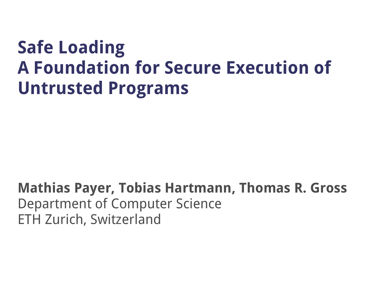#### **Safe Loading A Foundation for Secure Execution of Untrusted Programs**

#### **Mathias Payer, Tobias Hartmann, Thomas R. Gross** Department of Computer Science ETH Zurich, Switzerland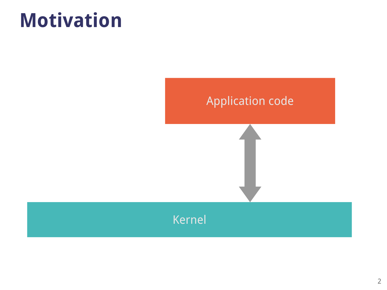#### **Motivation**

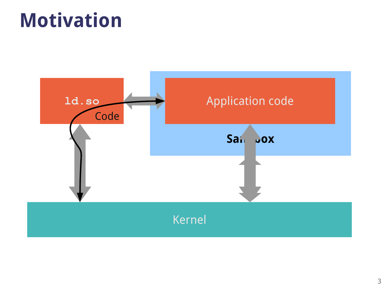#### **Motivation**

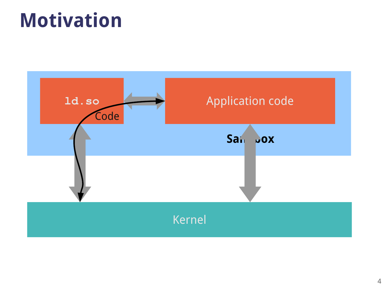#### **Motivation**

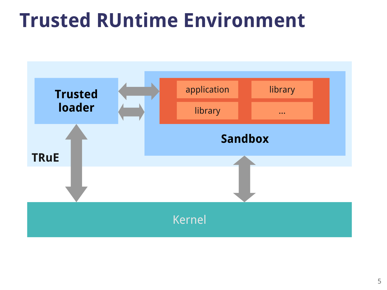#### **Trusted RUntime Environment**

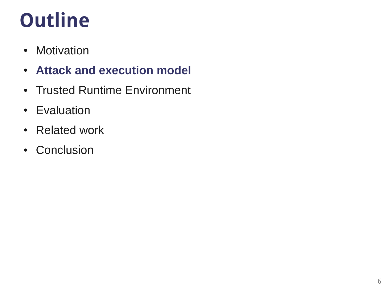### **Outline**

- Motivation
- **Attack and execution model**
- Trusted Runtime Environment
- Evaluation
- Related work
- Conclusion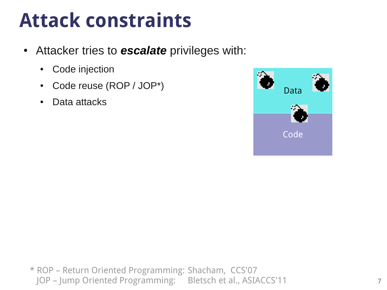### **Attack constraints**

- Attacker tries to **escalate** privileges with:
	- Code injection
	- Code reuse (ROP / JOP\*)
	- Data attacks



\* ROP – Return Oriented Programming: Shacham, CCS'07 JOP – Jump Oriented Programming: Bletsch et al., ASIACCS'11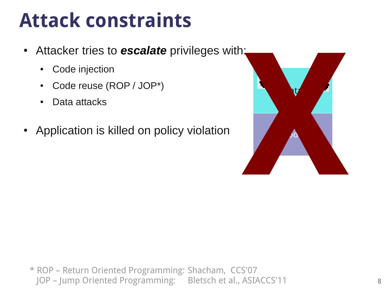### **Attack constraints**

- Attacker tries to **escalate** privileges with;
	- Code injection
	- Code reuse (ROP / JOP\*)
	- Data attacks
- Application is killed on policy violation



\* ROP – Return Oriented Programming: Shacham, CCS'07 JOP – Jump Oriented Programming: Bletsch et al., ASIACCS'11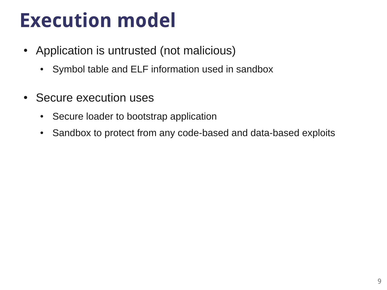### **Execution model**

- Application is untrusted (not malicious)
	- Symbol table and ELF information used in sandbox
- Secure execution uses
	- Secure loader to bootstrap application
	- Sandbox to protect from any code-based and data-based exploits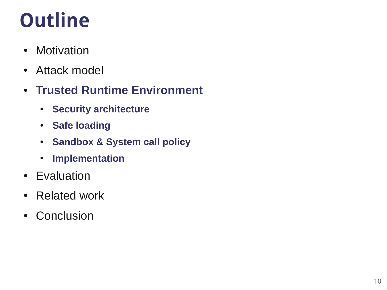## **Outline**

- Motivation
- Attack model
- **Trusted Runtime Environment**
	- **Security architecture**
	- **Safe loading**
	- **Sandbox & System call policy**
	- **Implementation**
- Evaluation
- Related work
- Conclusion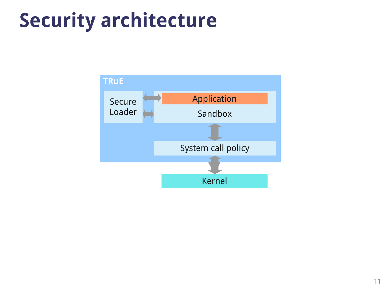### **Security architecture**

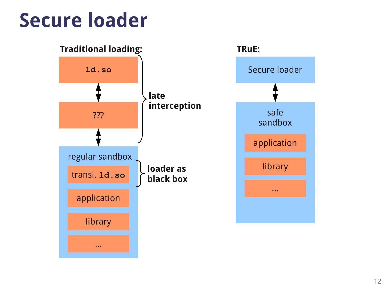#### **Secure loader**

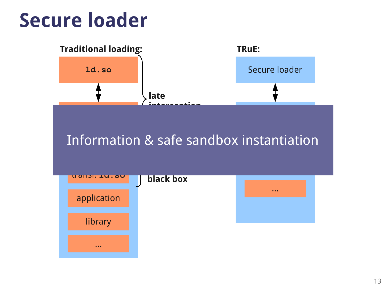#### **Secure loader**

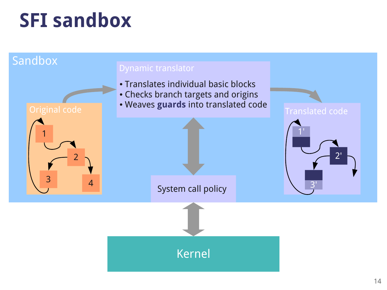### **SFI sandbox**

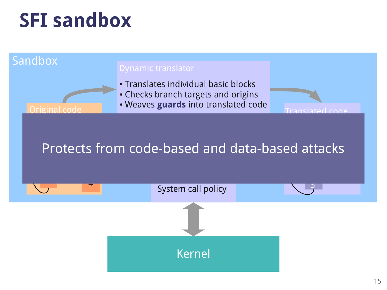### **SFI sandbox**

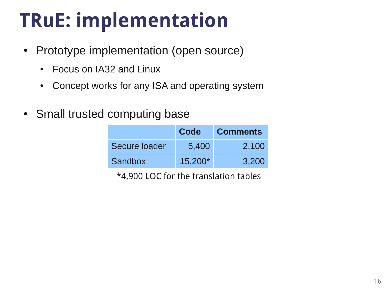# **TRuE: implementation**

- Prototype implementation (open source)
	- Focus on IA32 and Linux
	- Concept works for any ISA and operating system
- Small trusted computing base

|               | Code    | <b>Comments</b> |
|---------------|---------|-----------------|
| Secure loader | 5,400   | 2,100           |
| Sandbox       | 15,200* | 3,200           |

\*4,900 LOC for the translation tables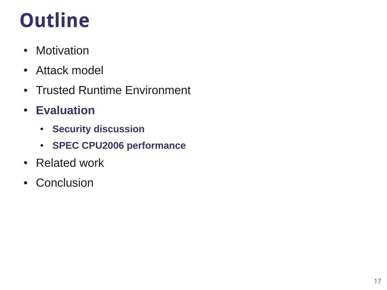# **Outline**

- Motivation
- Attack model
- Trusted Runtime Environment
- **Evaluation**
	- **Security discussion**
	- **SPEC CPU2006 performance**
- Related work
- Conclusion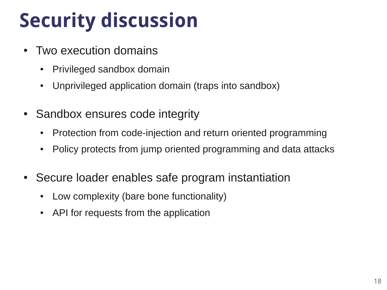## **Security discussion**

- Two execution domains
	- Privileged sandbox domain
	- Unprivileged application domain (traps into sandbox)
- Sandbox ensures code integrity
	- Protection from code-injection and return oriented programming
	- Policy protects from jump oriented programming and data attacks
- Secure loader enables safe program instantiation
	- Low complexity (bare bone functionality)
	- API for requests from the application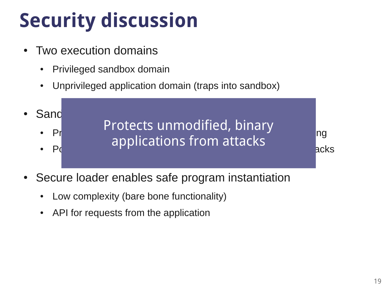# **Security discussion**

- Two execution domains
	- Privileged sandbox domain
	- Unprivileged application domain (traps into sandbox)



- Secure loader enables safe program instantiation
	- Low complexity (bare bone functionality)
	- API for requests from the application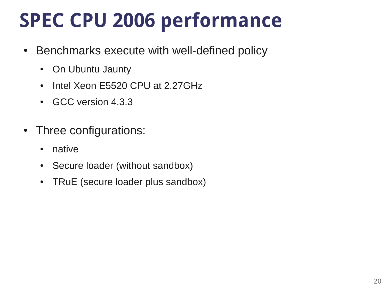### **SPEC CPU 2006 performance**

- Benchmarks execute with well-defined policy
	- On Ubuntu Jaunty
	- Intel Xeon E5520 CPU at 2.27GHz
	- GCC version 4.3.3
- Three configurations:
	- native
	- Secure loader (without sandbox)
	- TRuE (secure loader plus sandbox)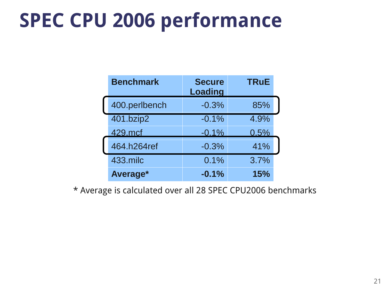#### **SPEC CPU 2006 performance**

| <b>Benchmark</b> | <b>Secure</b><br><b>Loading</b> | <b>TRuE</b> |
|------------------|---------------------------------|-------------|
| 400.perlbench    | $-0.3%$                         | 85%         |
| 401.bzip2        | $-0.1%$                         | 4.9%        |
| 429.mcf          | $-0.1%$                         | 0.5%        |
| 464.h264ref      | $-0.3%$                         | 41%         |
| 433.milc         | 0.1%                            | 3.7%        |
| Average*         | $-0.1%$                         | 15%         |

\* Average is calculated over all 28 SPEC CPU2006 benchmarks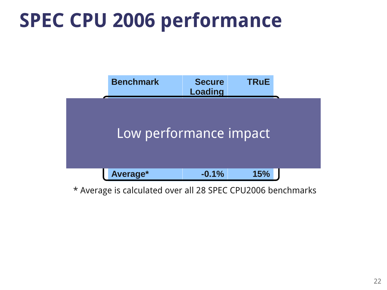### **SPEC CPU 2006 performance**



\* Average is calculated over all 28 SPEC CPU2006 benchmarks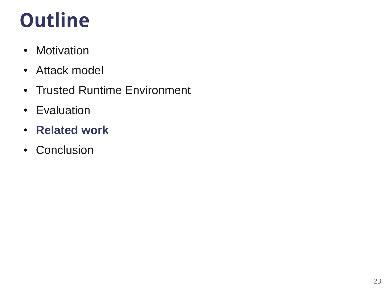## **Outline**

- Motivation
- Attack model
- Trusted Runtime Environment
- Evaluation
- **Related work**
- Conclusion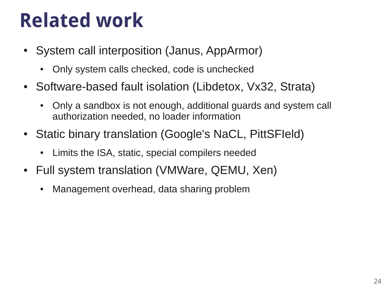### **Related work**

- System call interposition (Janus, AppArmor)
	- Only system calls checked, code is unchecked
- Software-based fault isolation (Libdetox, Vx32, Strata)
	- Only a sandbox is not enough, additional guards and system call authorization needed, no loader information
- Static binary translation (Google's NaCL, PittSFIeld)
	- Limits the ISA, static, special compilers needed
- Full system translation (VMWare, QEMU, Xen)
	- Management overhead, data sharing problem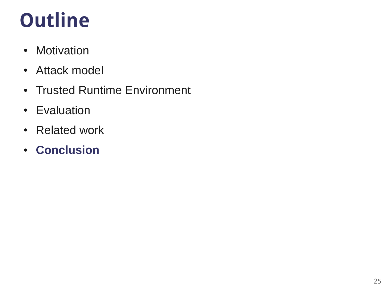## **Outline**

- Motivation
- Attack model
- Trusted Runtime Environment
- Evaluation
- Related work
- **Conclusion**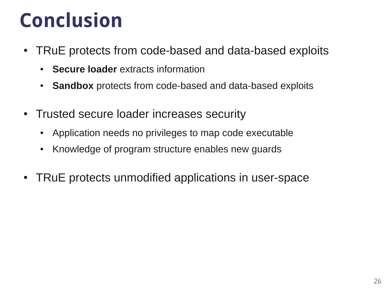### **Conclusion**

- TRuE protects from code-based and data-based exploits
	- **Secure loader** extracts information
	- Sandbox protects from code-based and data-based exploits
- Trusted secure loader increases security
	- Application needs no privileges to map code executable
	- Knowledge of program structure enables new guards
- TRuE protects unmodified applications in user-space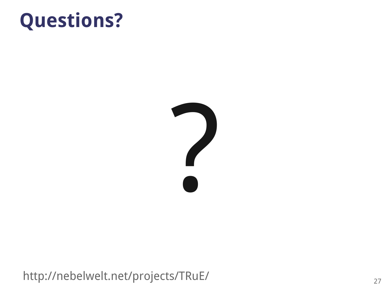#### **Questions?**



http://nebelwelt.net/projects/TRuE/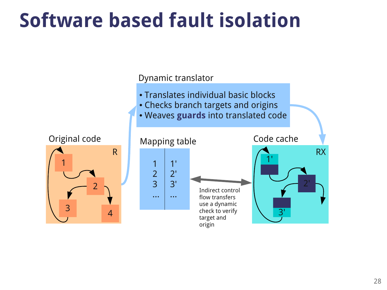### **Software based fault isolation**

Dynamic translator

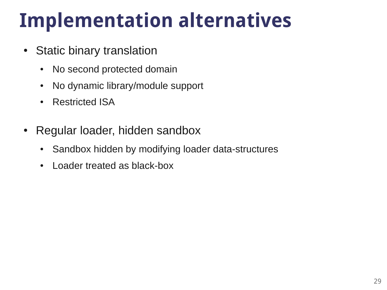## **Implementation alternatives**

- Static binary translation
	- No second protected domain
	- No dynamic library/module support
	- Restricted ISA
- Regular loader, hidden sandbox
	- Sandbox hidden by modifying loader data-structures
	- Loader treated as black-box